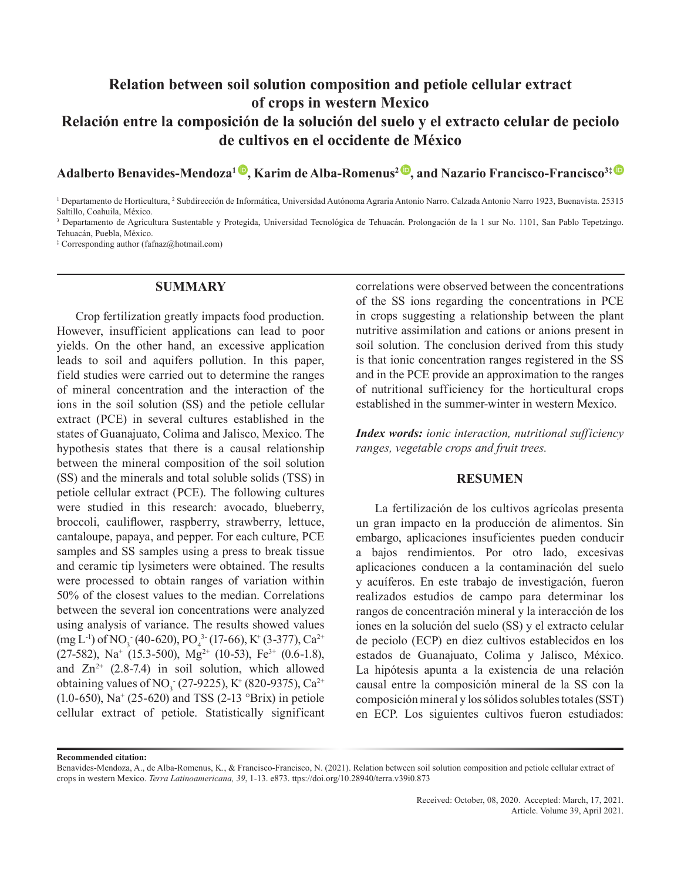# **Relation between soil solution composition and petiole cellular extract of crops in western Mexico Relación entre la composición de la solución del suelo y el extracto celular de peciolo de cultivos en el occidente de México**

**Adalberto Benavides-Mendoza1 [,](https://orcid.org/0000-0002-2729-4315) Karim de Alba-Romenus2 [,](https://orcid.org/0000-0001-5590-6094) and Nazario Francisco-Francisco3‡** 

<sup>1</sup> Departamento de Horticultura, <sup>2</sup> Subdirección de Informática, Universidad Autónoma Agraria Antonio Narro. Calzada Antonio Narro 1923, Buenavista. 25315 Saltillo, Coahuila, México.

<sup>3</sup> Departamento de Agricultura Sustentable y Protegida, Universidad Tecnológica de Tehuacán. Prolongación de la 1 sur No. 1101, San Pablo Tepetzingo. Tehuacán, Puebla, México.

‡ Corresponding author (fafnaz@hotmail.com)

### **SUMMARY**

Crop fertilization greatly impacts food production. However, insufficient applications can lead to poor yields. On the other hand, an excessive application leads to soil and aquifers pollution. In this paper, field studies were carried out to determine the ranges of mineral concentration and the interaction of the ions in the soil solution (SS) and the petiole cellular extract (PCE) in several cultures established in the states of Guanajuato, Colima and Jalisco, Mexico. The hypothesis states that there is a causal relationship between the mineral composition of the soil solution (SS) and the minerals and total soluble solids (TSS) in petiole cellular extract (PCE). The following cultures were studied in this research: avocado, blueberry, broccoli, cauliflower, raspberry, strawberry, lettuce, cantaloupe, papaya, and pepper. For each culture, PCE samples and SS samples using a press to break tissue and ceramic tip lysimeters were obtained. The results were processed to obtain ranges of variation within 50% of the closest values to the median. Correlations between the several ion concentrations were analyzed using analysis of variance. The results showed values (mg L<sup>-1</sup>) of NO<sub>3</sub> (40-620), PO<sub>4</sub><sup>3</sup> (17-66), K<sup>+</sup> (3-377), Ca<sup>2+</sup>  $(27-582)$ , Na<sup>+</sup> (15.3-500), Mg<sup>2+</sup> (10-53), Fe<sup>3+</sup> (0.6-1.8), and  $Zn^{2+}$  (2.8-7.4) in soil solution, which allowed obtaining values of NO<sub>3</sub> (27-9225), K<sup>+</sup> (820-9375), Ca<sup>2+</sup> (1.0-650), Na+ (25-620) and TSS (2-13 °Brix) in petiole cellular extract of petiole. Statistically significant correlations were observed between the concentrations of the SS ions regarding the concentrations in PCE in crops suggesting a relationship between the plant nutritive assimilation and cations or anions present in soil solution. The conclusion derived from this study is that ionic concentration ranges registered in the SS and in the PCE provide an approximation to the ranges of nutritional suff iciency for the horticultural crops established in the summer-winter in western Mexico.

*Index words: ionic interaction, nutritional suff iciency ranges, vegetable crops and fruit trees.*

### **RESUMEN**

La fertilización de los cultivos agrícolas presenta un gran impacto en la producción de alimentos. Sin embargo, aplicaciones insuficientes pueden conducir a bajos rendimientos. Por otro lado, excesivas aplicaciones conducen a la contaminación del suelo y acuíferos. En este trabajo de investigación, fueron realizados estudios de campo para determinar los rangos de concentración mineral y la interacción de los iones en la solución del suelo (SS) y el extracto celular de peciolo (ECP) en diez cultivos establecidos en los estados de Guanajuato, Colima y Jalisco, México. La hipótesis apunta a la existencia de una relación causal entre la composición mineral de la SS con la composición mineral y los sólidos solubles totales (SST) en ECP. Los siguientes cultivos fueron estudiados:

**Recommended citation:** 

Benavides-Mendoza, A., de Alba-Romenus, K., & Francisco-Francisco, N. (2021). Relation between soil solution composition and petiole cellular extract of crops in western Mexico. *Terra Latinoamericana, 39*, 1-13. e873. ttps://doi.org/10.28940/terra.v39i0.873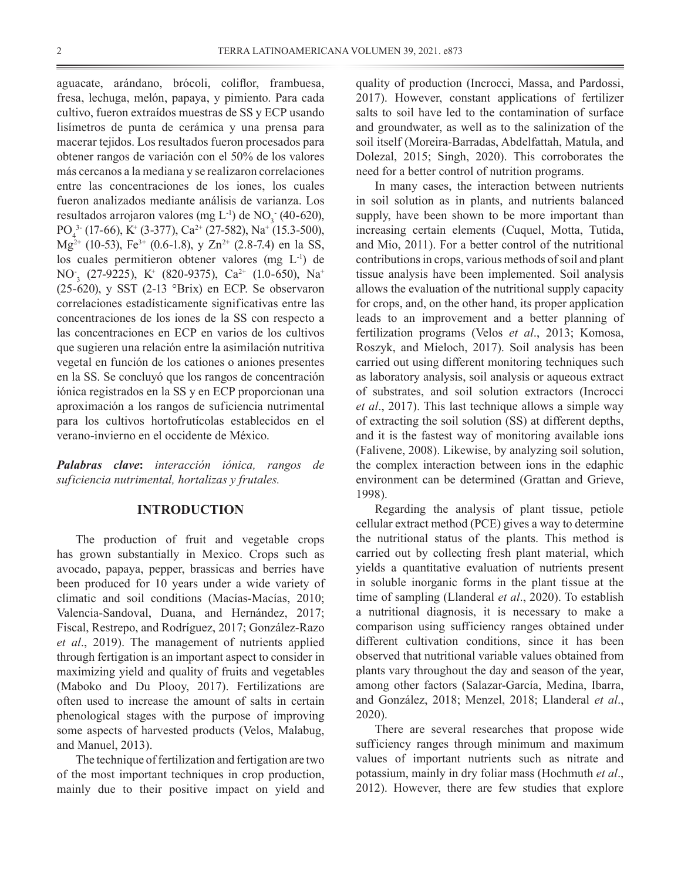aguacate, arándano, brócoli, coliflor, frambuesa, fresa, lechuga, melón, papaya, y pimiento. Para cada cultivo, fueron extraídos muestras de SS y ECP usando lisímetros de punta de cerámica y una prensa para macerar tejidos. Los resultados fueron procesados para obtener rangos de variación con el 50% de los valores más cercanos a la mediana y se realizaron correlaciones entre las concentraciones de los iones, los cuales fueron analizados mediante análisis de varianza. Los resultados arrojaron valores (mg L<sup>-1</sup>) de NO<sub>3</sub><sup>-</sup> (40-620),  $PO<sub>4</sub><sup>3</sup>$  (17-66), K<sup>+</sup> (3-377), Ca<sup>2+</sup> (27-582), Na<sup>+</sup> (15.3-500),  $Mg^{2+}$  (10-53), Fe<sup>3+</sup> (0.6-1.8), y Zn<sup>2+</sup> (2.8-7.4) en la SS, los cuales permitieron obtener valores (mg L-1) de  $NO_{3}^{+}$  (27-9225), K<sup>+</sup> (820-9375), Ca<sup>2+</sup> (1.0-650), Na<sup>+</sup> (25-620), y SST (2-13 °Brix) en ECP. Se observaron correlaciones estadísticamente signif icativas entre las concentraciones de los iones de la SS con respecto a las concentraciones en ECP en varios de los cultivos que sugieren una relación entre la asimilación nutritiva vegetal en función de los cationes o aniones presentes en la SS. Se concluyó que los rangos de concentración iónica registrados en la SS y en ECP proporcionan una aproximación a los rangos de suf iciencia nutrimental para los cultivos hortofrutícolas establecidos en el verano-invierno en el occidente de México.

*Palabras clave***:** *interacción iónica, rangos de suf iciencia nutrimental, hortalizas y frutales.*

### **INTRODUCTION**

The production of fruit and vegetable crops has grown substantially in Mexico. Crops such as avocado, papaya, pepper, brassicas and berries have been produced for 10 years under a wide variety of climatic and soil conditions (Macías-Macías, 2010; Valencia-Sandoval, Duana, and Hernández, 2017; Fiscal, Restrepo, and Rodríguez, 2017; González-Razo *et al*., 2019). The management of nutrients applied through fertigation is an important aspect to consider in maximizing yield and quality of fruits and vegetables (Maboko and Du Plooy, 2017). Fertilizations are often used to increase the amount of salts in certain phenological stages with the purpose of improving some aspects of harvested products (Velos, Malabug, and Manuel, 2013).

The technique of fertilization and fertigation are two of the most important techniques in crop production, mainly due to their positive impact on yield and

quality of production (Incrocci, Massa, and Pardossi, 2017). However, constant applications of fertilizer salts to soil have led to the contamination of surface and groundwater, as well as to the salinization of the soil itself (Moreira-Barradas, Abdelfattah, Matula, and Dolezal, 2015; Singh, 2020). This corroborates the need for a better control of nutrition programs.

In many cases, the interaction between nutrients in soil solution as in plants, and nutrients balanced supply, have been shown to be more important than increasing certain elements (Cuquel, Motta, Tutida, and Mio, 2011). For a better control of the nutritional contributions in crops, various methods of soil and plant tissue analysis have been implemented. Soil analysis allows the evaluation of the nutritional supply capacity for crops, and, on the other hand, its proper application leads to an improvement and a better planning of fertilization programs (Velos *et al*., 2013; Komosa, Roszyk, and Mieloch, 2017). Soil analysis has been carried out using different monitoring techniques such as laboratory analysis, soil analysis or aqueous extract of substrates, and soil solution extractors (Incrocci *et al*., 2017). This last technique allows a simple way of extracting the soil solution (SS) at different depths, and it is the fastest way of monitoring available ions (Falivene, 2008). Likewise, by analyzing soil solution, the complex interaction between ions in the edaphic environment can be determined (Grattan and Grieve, 1998).

Regarding the analysis of plant tissue, petiole cellular extract method (PCE) gives a way to determine the nutritional status of the plants. This method is carried out by collecting fresh plant material, which yields a quantitative evaluation of nutrients present in soluble inorganic forms in the plant tissue at the time of sampling (Llanderal *et al*., 2020). To establish a nutritional diagnosis, it is necessary to make a comparison using suff iciency ranges obtained under different cultivation conditions, since it has been observed that nutritional variable values obtained from plants vary throughout the day and season of the year, among other factors (Salazar-García, Medina, Ibarra, and González, 2018; Menzel, 2018; Llanderal *et al*., 2020).

There are several researches that propose wide sufficiency ranges through minimum and maximum values of important nutrients such as nitrate and potassium, mainly in dry foliar mass (Hochmuth *et al*., 2012). However, there are few studies that explore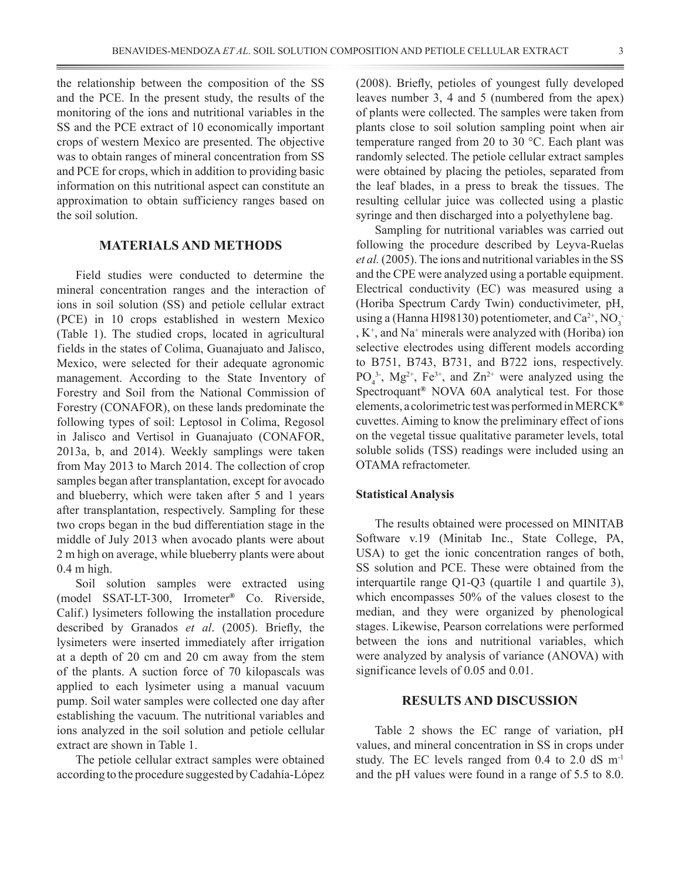the relationship between the composition of the SS and the PCE. In the present study, the results of the monitoring of the ions and nutritional variables in the SS and the PCE extract of 10 economically important crops of western Mexico are presented. The objective was to obtain ranges of mineral concentration from SS and PCE for crops, which in addition to providing basic information on this nutritional aspect can constitute an approximation to obtain sufficiency ranges based on the soil solution.

### **MATERIALS AND METHODS**

Field studies were conducted to determine the mineral concentration ranges and the interaction of ions in soil solution (SS) and petiole cellular extract (PCE) in 10 crops established in western Mexico (Table 1). The studied crops, located in agricultural fields in the states of Colima, Guanajuato and Jalisco, Mexico, were selected for their adequate agronomic management. According to the State Inventory of Forestry and Soil from the National Commission of Forestry (CONAFOR), on these lands predominate the following types of soil: Leptosol in Colima, Regosol in Jalisco and Vertisol in Guanajuato (CONAFOR, 2013a, b, and 2014). Weekly samplings were taken from May 2013 to March 2014. The collection of crop samples began after transplantation, except for avocado and blueberry, which were taken after 5 and 1 years after transplantation, respectively. Sampling for these two crops began in the bud differentiation stage in the middle of July 2013 when avocado plants were about 2 m high on average, while blueberry plants were about 0.4 m high.

Soil solution samples were extracted using (model SSAT-LT-300, Irrometer**®** Co. Riverside, Calif.) lysimeters following the installation procedure described by Granados *et al*. (2005). Briefly, the lysimeters were inserted immediately after irrigation at a depth of 20 cm and 20 cm away from the stem of the plants. A suction force of 70 kilopascals was applied to each lysimeter using a manual vacuum pump. Soil water samples were collected one day after establishing the vacuum. The nutritional variables and ions analyzed in the soil solution and petiole cellular extract are shown in Table 1.

The petiole cellular extract samples were obtained according to the procedure suggested by Cadahía-López (2008). Briefly, petioles of youngest fully developed leaves number 3, 4 and 5 (numbered from the apex) of plants were collected. The samples were taken from plants close to soil solution sampling point when air temperature ranged from 20 to 30 °C. Each plant was randomly selected. The petiole cellular extract samples were obtained by placing the petioles, separated from the leaf blades, in a press to break the tissues. The resulting cellular juice was collected using a plastic syringe and then discharged into a polyethylene bag.

Sampling for nutritional variables was carried out following the procedure described by Leyva-Ruelas *et al.* (2005). The ions and nutritional variables in the SS and the CPE were analyzed using a portable equipment. Electrical conductivity (EC) was measured using a (Horiba Spectrum Cardy Twin) conductivimeter, pH, using a (Hanna HI98130) potentiometer, and  $Ca^{2+}$ , NO<sub>3</sub> , K+ , and Na+ minerals were analyzed with (Horiba) ion selective electrodes using different models according to B751, B743, B731, and B722 ions, respectively.  $PO_4^3$ <sup>-</sup>, Mg<sup>2+</sup>, Fe<sup>3+</sup>, and Zn<sup>2+</sup> were analyzed using the Spectroquant**®** NOVA 60A analytical test. For those elements, a colorimetric test was performed in MERCK**®** cuvettes. Aiming to know the preliminary effect of ions on the vegetal tissue qualitative parameter levels, total soluble solids (TSS) readings were included using an OTAMA refractometer.

### **Statistical Analysis**

The results obtained were processed on MINITAB Software v.19 (Minitab Inc., State College, PA, USA) to get the ionic concentration ranges of both, SS solution and PCE. These were obtained from the interquartile range Q1-Q3 (quartile 1 and quartile 3), which encompasses 50% of the values closest to the median, and they were organized by phenological stages. Likewise, Pearson correlations were performed between the ions and nutritional variables, which were analyzed by analysis of variance (ANOVA) with significance levels of 0.05 and 0.01.

### **RESULTS AND DISCUSSION**

Table 2 shows the EC range of variation, pH values, and mineral concentration in SS in crops under study. The EC levels ranged from  $0.4$  to  $2.0$  dS  $m^{-1}$ and the pH values were found in a range of 5.5 to 8.0.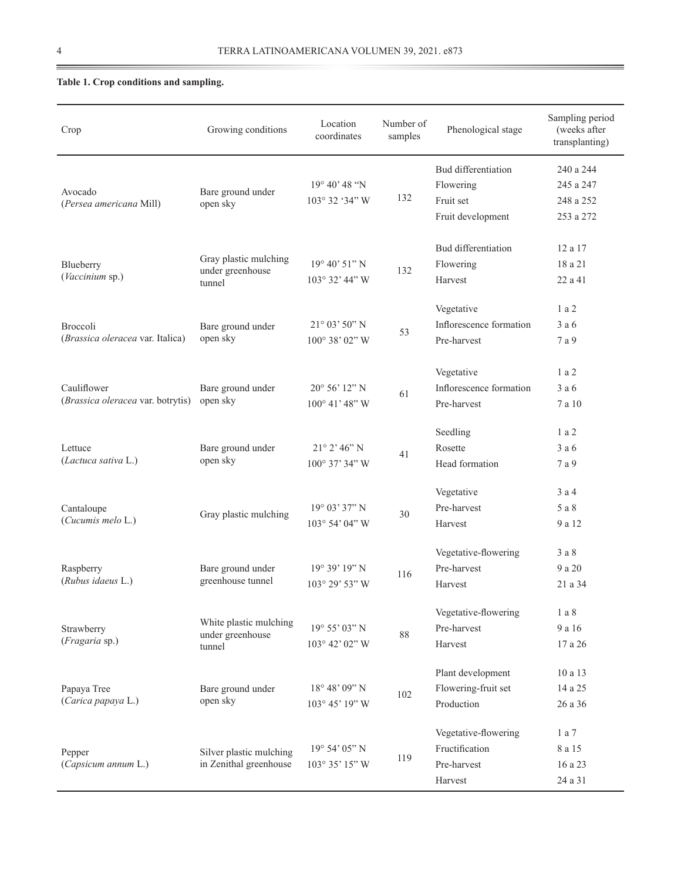| Crop                              | Growing conditions                         | Location<br>coordinates | Number of<br>samples | Phenological stage      | Sampling period<br>(weeks after<br>transplanting) |  |
|-----------------------------------|--------------------------------------------|-------------------------|----------------------|-------------------------|---------------------------------------------------|--|
|                                   |                                            |                         |                      | Bud differentiation     | 240 a 244                                         |  |
| Avocado                           | Bare ground under                          | 19° 40' 48 "N           | 132                  | Flowering               | 245 a 247                                         |  |
| (Persea americana Mill)           | open sky                                   | 103° 32 '34" W          |                      | Fruit set               | 248 a 252                                         |  |
|                                   |                                            |                         |                      | Fruit development       | 253 a 272                                         |  |
|                                   |                                            |                         |                      | Bud differentiation     | 12 a 17                                           |  |
| Blueberry                         | Gray plastic mulching<br>under greenhouse  | 19° 40' 51" N           | 132                  | Flowering               | 18 a 21                                           |  |
| (Vaccinium sp.)                   | tunnel                                     | 103° 32' 44" W          |                      | Harvest                 | 22 a 41                                           |  |
|                                   |                                            |                         |                      | Vegetative              | 1 a 2                                             |  |
| <b>Broccoli</b>                   | Bare ground under                          | $21^{\circ}$ 03' 50" N  |                      | Inflorescence formation | 3a6                                               |  |
| (Brassica oleracea var. Italica)  | open sky                                   | 100° 38' 02" W          | 53                   | Pre-harvest             | 7 a 9                                             |  |
|                                   |                                            |                         |                      | Vegetative              | 1 a 2                                             |  |
| Cauliflower                       | Bare ground under                          | $20^{\circ} 56' 12" N$  |                      | Inflorescence formation | 3a6                                               |  |
| (Brassica oleracea var. botrytis) | open sky                                   | $100^{\circ}$ 41' 48" W | 61                   | Pre-harvest             | 7 a 10                                            |  |
|                                   |                                            |                         |                      | Seedling                | 1 a 2                                             |  |
| Lettuce<br>(Lactuca sativa L.)    | Bare ground under                          | $21^{\circ} 2' 46'' N$  | 41                   | Rosette                 | 3a6                                               |  |
|                                   | open sky                                   | 100° 37' 34" W          |                      | Head formation          | 7 a 9                                             |  |
|                                   |                                            |                         |                      | Vegetative              | 3a4                                               |  |
| Cantaloupe<br>(Cucumis melo L.)   | Gray plastic mulching                      | $19^{\circ}$ 03' 37" N  | 30                   | Pre-harvest             | 5 a 8                                             |  |
|                                   |                                            | 103° 54' 04" W          |                      | Harvest                 | 9 a 12                                            |  |
|                                   |                                            |                         |                      | Vegetative-flowering    | 3a8                                               |  |
| Raspberry                         | Bare ground under                          | 19° 39' 19" N           | 116                  | Pre-harvest             | 9 a 20                                            |  |
| (Rubus idaeus L.)                 | greenhouse tunnel                          | 103° 29' 53" W          |                      | Harvest                 | 21 a 34                                           |  |
|                                   |                                            |                         |                      | Vegetative-flowering    | $1a8$                                             |  |
| Strawberry                        | White plastic mulching<br>under greenhouse | 19° 55' 03" N           | 88                   | Pre-harvest             | 9 a 16                                            |  |
| (Fragaria sp.)                    | tunnel                                     | 103° 42' 02" W          |                      | Harvest                 | 17 a 26                                           |  |
|                                   |                                            |                         |                      | Plant development       | 10 a 13                                           |  |
| Papaya Tree<br>(Carica papaya L.) | Bare ground under                          | 18° 48' 09" N           | 102                  | Flowering-fruit set     | 14 a 25                                           |  |
|                                   | open sky                                   | 103° 45' 19" W          |                      | Production              | 26 a 36                                           |  |
|                                   |                                            |                         |                      | Vegetative-flowering    | 1 a 7                                             |  |
| Pepper                            | Silver plastic mulching                    | 19° 54' 05" N           |                      | Fructification          | 8 a 15                                            |  |
| (Capsicum annum L.)               | in Zenithal greenhouse                     | 103° 35' 15" W          | 119                  | Pre-harvest             | 16 a 23                                           |  |
|                                   |                                            |                         |                      | Harvest                 | 24 a 31                                           |  |

# **Table 1. Crop conditions and sampling.**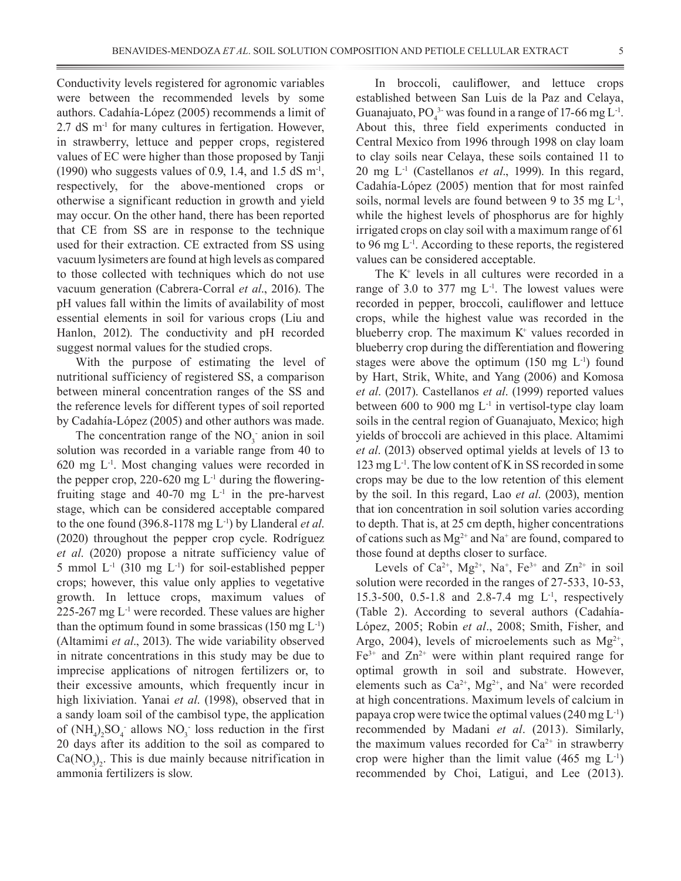Conductivity levels registered for agronomic variables were between the recommended levels by some authors. Cadahía-López (2005) recommends a limit of 2.7 dS m-1 for many cultures in fertigation. However, in strawberry, lettuce and pepper crops, registered values of EC were higher than those proposed by Tanji (1990) who suggests values of 0.9, 1.4, and 1.5 dS  $m^{-1}$ , respectively, for the above-mentioned crops or otherwise a signif icant reduction in growth and yield may occur. On the other hand, there has been reported that CE from SS are in response to the technique used for their extraction. CE extracted from SS using vacuum lysimeters are found at high levels as compared to those collected with techniques which do not use vacuum generation (Cabrera-Corral *et al*., 2016). The pH values fall within the limits of availability of most essential elements in soil for various crops (Liu and Hanlon, 2012). The conductivity and pH recorded suggest normal values for the studied crops.

With the purpose of estimating the level of nutritional sufficiency of registered SS, a comparison between mineral concentration ranges of the SS and the reference levels for different types of soil reported by Cadahía-López (2005) and other authors was made.

The concentration range of the  $NO_3^-$  anion in soil solution was recorded in a variable range from 40 to 620 mg L-1. Most changing values were recorded in the pepper crop,  $220-620$  mg L<sup>-1</sup> during the floweringfruiting stage and  $40-70$  mg  $L^{-1}$  in the pre-harvest stage, which can be considered acceptable compared to the one found (396.8-1178 mg L-1) by Llanderal *et al*. (2020) throughout the pepper crop cycle. Rodríguez *et al*. (2020) propose a nitrate suff iciency value of 5 mmol  $L^{-1}$  (310 mg  $L^{-1}$ ) for soil-established pepper crops; however, this value only applies to vegetative growth. In lettuce crops, maximum values of 225-267 mg  $L^{-1}$  were recorded. These values are higher than the optimum found in some brassicas  $(150 \text{ mg L}^{-1})$ (Altamimi *et al*., 2013). The wide variability observed in nitrate concentrations in this study may be due to imprecise applications of nitrogen fertilizers or, to their excessive amounts, which frequently incur in high lixiviation. Yanai *et al*. (1998), observed that in a sandy loam soil of the cambisol type, the application of  $(NH_4)_2SO_4$  allows  $NO_3$  loss reduction in the first 20 days after its addition to the soil as compared to  $Ca(NO<sub>3</sub>)<sub>2</sub>$ . This is due mainly because nitrification in ammonia fertilizers is slow.

In broccoli, cauliflower, and lettuce crops established between San Luis de la Paz and Celaya, Guanajuato,  $PO_4^3$  was found in a range of 17-66 mg L<sup>-1</sup>. About this, three field experiments conducted in Central Mexico from 1996 through 1998 on clay loam to clay soils near Celaya, these soils contained 11 to 20 mg L-1 (Castellanos *et al*., 1999). In this regard, Cadahía-López (2005) mention that for most rainfed soils, normal levels are found between 9 to 35 mg  $L^{-1}$ , while the highest levels of phosphorus are for highly irrigated crops on clay soil with a maximum range of 61 to 96 mg L-1. According to these reports, the registered values can be considered acceptable.

The K+ levels in all cultures were recorded in a range of 3.0 to 377 mg  $L^{-1}$ . The lowest values were recorded in pepper, broccoli, cauliflower and lettuce crops, while the highest value was recorded in the blueberry crop. The maximum  $K<sup>+</sup>$  values recorded in blueberry crop during the differentiation and flowering stages were above the optimum  $(150 \text{ mg } L^{-1})$  found by Hart, Strik, White, and Yang (2006) and Komosa *et al*. (2017). Castellanos *et al*. (1999) reported values between 600 to 900 mg  $L^{-1}$  in vertisol-type clay loam soils in the central region of Guanajuato, Mexico; high yields of broccoli are achieved in this place. Altamimi *et al*. (2013) observed optimal yields at levels of 13 to 123 mg  $L^{-1}$ . The low content of K in SS recorded in some crops may be due to the low retention of this element by the soil. In this regard, Lao *et al*. (2003), mention that ion concentration in soil solution varies according to depth. That is, at 25 cm depth, higher concentrations of cations such as  $Mg^{2+}$  and  $Na^{+}$  are found, compared to those found at depths closer to surface.

Levels of  $Ca^{2+}$ ,  $Mg^{2+}$ ,  $Na^{+}$ ,  $Fe^{3+}$  and  $Zn^{2+}$  in soil solution were recorded in the ranges of 27-533, 10-53, 15.3-500, 0.5-1.8 and 2.8-7.4 mg L-1, respectively (Table 2). According to several authors (Cadahía-López, 2005; Robin *et al*., 2008; Smith, Fisher, and Argo, 2004), levels of microelements such as  $Mg^{2+}$ ,  $Fe<sup>3+</sup>$  and  $Zn<sup>2+</sup>$  were within plant required range for optimal growth in soil and substrate. However, elements such as  $Ca^{2+}$ , Mg<sup>2+</sup>, and Na<sup>+</sup> were recorded at high concentrations. Maximum levels of calcium in papaya crop were twice the optimal values  $(240 \text{ mg L}^{-1})$ recommended by Madani *et al*. (2013). Similarly, the maximum values recorded for  $Ca^{2+}$  in strawberry crop were higher than the limit value  $(465 \text{ mg } L^{-1})$ recommended by Choi, Latigui, and Lee (2013).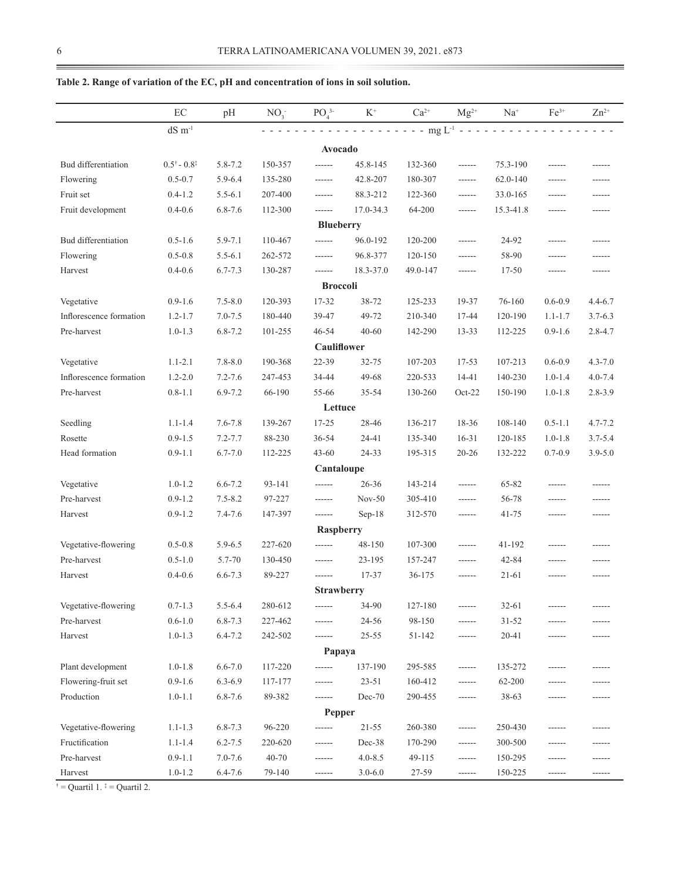|                         | EC                                 | pH          | NO <sub>3</sub> | PO <sub>4</sub> <sup>3</sup> | $K^+$         | $Ca^{2+}$       | $Mg^{2+}$     | $Na+$        | $Fe3+$        | $Zn^{2+}$   |
|-------------------------|------------------------------------|-------------|-----------------|------------------------------|---------------|-----------------|---------------|--------------|---------------|-------------|
|                         | $dS$ m <sup>-1</sup>               |             |                 |                              |               | - $mg L^{-1}$ - |               |              |               |             |
|                         |                                    |             |                 | Avocado                      |               |                 |               |              |               |             |
| Bud differentiation     | $0.5^{\dagger}$ - $0.8^{\ddagger}$ | $5.8 - 7.2$ | 150-357         | ------                       | 45.8-145      | 132-360         | ------        | 75.3-190     | ------        | ------      |
| Flowering               | $0.5 - 0.7$                        | $5.9 - 6.4$ | 135-280         | ------                       | 42.8-207      | 180-307         | ------        | $62.0 - 140$ | ------        | ------      |
| Fruit set               | $0.4 - 1.2$                        | $5.5 - 6.1$ | 207-400         | ------                       | 88.3-212      | 122-360         | ------        | 33.0-165     | ------        | ------      |
| Fruit development       | $0.4 - 0.6$                        | $6.8 - 7.6$ | 112-300         | ------                       | $17.0 - 34.3$ | 64-200          | ------        | 15.3-41.8    | ------        |             |
| <b>Blueberry</b>        |                                    |             |                 |                              |               |                 |               |              |               |             |
| Bud differentiation     | $0.5 - 1.6$                        | $5.9 - 7.1$ | 110-467         | ------                       | 96.0-192      | 120-200         | $- - - - - -$ | 24-92        | $- - - - - -$ | ------      |
| Flowering               | $0.5 - 0.8$                        | $5.5 - 6.1$ | 262-572         | ------                       | 96.8-377      | 120-150         | ------        | 58-90        | ------        | ------      |
| Harvest                 | $0.4 - 0.6$                        | $6.7 - 7.3$ | 130-287         | ------                       | 18.3-37.0     | 49.0-147        | ------        | 17-50        | $- - - - - -$ | ------      |
|                         |                                    |             |                 | <b>Broccoli</b>              |               |                 |               |              |               |             |
| Vegetative              | $0.9 - 1.6$                        | $7.5 - 8.0$ | 120-393         | 17-32                        | 38-72         | 125-233         | 19-37         | 76-160       | $0.6 - 0.9$   | $4.4 - 6.7$ |
| Inflorescence formation | $1.2 - 1.7$                        | $7.0 - 7.5$ | 180-440         | 39-47                        | 49-72         | 210-340         | 17-44         | 120-190      | $1.1 - 1.7$   | $3.7 - 6.3$ |
| Pre-harvest             | $1.0 - 1.3$                        | $6.8 - 7.2$ | 101-255         | 46-54                        | $40 - 60$     | 142-290         | $13 - 33$     | 112-225      | $0.9 - 1.6$   | $2.8 - 4.7$ |
|                         |                                    |             |                 | Cauliflower                  |               |                 |               |              |               |             |
| Vegetative              | $1.1 - 2.1$                        | $7.8 - 8.0$ | 190-368         | 22-39                        | $32 - 75$     | 107-203         | $17 - 53$     | 107-213      | $0.6 - 0.9$   | $4.3 - 7.0$ |
| Inflorescence formation | $1.2 - 2.0$                        | $7.2 - 7.6$ | 247-453         | 34-44                        | 49-68         | 220-533         | 14-41         | 140-230      | $1.0 - 1.4$   | $4.0 - 7.4$ |
| Pre-harvest             | $0.8 - 1.1$                        | $6.9 - 7.2$ | 66-190          | 55-66                        | 35-54         | 130-260         | $Oct-22$      | 150-190      | $1.0 - 1.8$   | $2.8 - 3.9$ |
|                         |                                    |             |                 | Lettuce                      |               |                 |               |              |               |             |
| Seedling                | $1.1 - 1.4$                        | $7.6 - 7.8$ | 139-267         | $17 - 25$                    | 28-46         | 136-217         | 18-36         | 108-140      | $0.5 - 1.1$   | $4.7 - 7.2$ |
| Rosette                 | $0.9 - 1.5$                        | $7.2 - 7.7$ | 88-230          | 36-54                        | 24-41         | 135-340         | $16 - 31$     | 120-185      | $1.0 - 1.8$   | $3.7 - 5.4$ |
| Head formation          | $0.9 - 1.1$                        | $6.7 - 7.0$ | 112-225         | $43 - 60$                    | 24-33         | 195-315         | $20 - 26$     | 132-222      | $0.7 - 0.9$   | $3.9 - 5.0$ |
|                         |                                    |             |                 | Cantaloupe                   |               |                 |               |              |               |             |
| Vegetative              | $1.0 - 1.2$                        | $6.6 - 7.2$ | 93-141          | ------                       | 26-36         | 143-214         | ------        | 65-82        |               |             |
| Pre-harvest             | $0.9 - 1.2$                        | $7.5 - 8.2$ | 97-227          | ------                       | $Nov-50$      | 305-410         | ------        | 56-78        | $- - - - - -$ | ------      |
| Harvest                 | $0.9 - 1.2$                        | $7.4 - 7.6$ | 147-397         | ------                       | $Sep-18$      | 312-570         | ------        | $41 - 75$    | $- - - - - -$ | ------      |
|                         |                                    |             |                 | <b>Raspberry</b>             |               |                 |               |              |               |             |
| Vegetative-flowering    | $0.5 - 0.8$                        | $5.9 - 6.5$ | 227-620         | ------                       | 48-150        | 107-300         | $- - - - - -$ | 41-192       | ------        | ------      |
| Pre-harvest             | $0.5 - 1.0$                        | 5.7-70      | 130-450         | ------                       | 23-195        | 157-247         | ------        | 42-84        | ------        |             |
| Harvest                 | $0.4 - 0.6$                        | $6.6 - 7.3$ | 89-227          | ------                       | $17 - 37$     | 36-175          | ------        | $21 - 61$    | ------        | ------      |
|                         |                                    |             |                 | <b>Strawberry</b>            |               |                 |               |              |               |             |
| Vegetative-flowering    | $0.7 - 1.3$                        | $5.5 - 6.4$ | 280-612         | ------                       | 34-90         | 127-180         | ------        | $32 - 61$    |               |             |
| Pre-harvest             | $0.6 - 1.0$                        | $6.8 - 7.3$ | 227-462         | ------                       | 24-56         | 98-150          | ------        | $31 - 52$    |               |             |
| Harvest                 | $1.0 - 1.3$                        | $6.4 - 7.2$ | 242-502         | ------                       | $25 - 55$     | $51 - 142$      | ------        | 20-41        |               |             |
| Papaya                  |                                    |             |                 |                              |               |                 |               |              |               |             |
| Plant development       | $1.0 - 1.8$                        | $6.6 - 7.0$ | 117-220         | ------                       | 137-190       | 295-585         | ------        | 135-272      | ------        | ------      |
| Flowering-fruit set     | $0.9 - 1.6$                        | $6.3 - 6.9$ | 117-177         | ------                       | $23 - 51$     | 160-412         | ------        | 62-200       |               |             |
| Production              | $1.0 - 1.1$                        | $6.8 - 7.6$ | 89-382          | ------                       | Dec-70        | 290-455         | ------        | 38-63        | ------        | ------      |
| Pepper                  |                                    |             |                 |                              |               |                 |               |              |               |             |
| Vegetative-flowering    | $1.1 - 1.3$                        | $6.8 - 7.3$ | 96-220          | ------                       | $21 - 55$     | 260-380         | ------        | 250-430      | ------        |             |
| Fructification          | $1.1 - 1.4$                        | $6.2 - 7.5$ | 220-620         | ------                       | Dec-38        | 170-290         | ------        | 300-500      |               |             |
| Pre-harvest             | $0.9 - 1.1$                        | $7.0 - 7.6$ | $40 - 70$       | ------                       | $4.0 - 8.5$   | 49-115          | ------        | 150-295      | ------        | ------      |
| Harvest                 | $1.0 - 1.2$                        | $6.4 - 7.6$ | 79-140          | ------                       | $3.0 - 6.0$   | 27-59           | ------        | 150-225      | ------        | ------      |

# **Table 2. Range of variation of the EC, pH and concentration of ions in soil solution.**

 $\hat{z}$  = Quartil 1.  $\hat{z}$  = Quartil 2.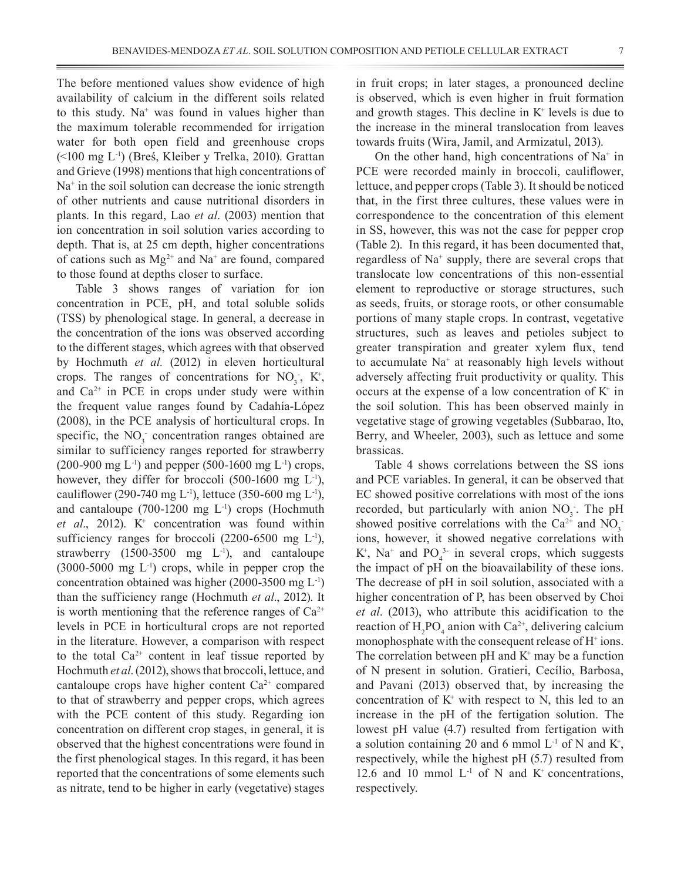The before mentioned values show evidence of high availability of calcium in the different soils related to this study. Na<sup>+</sup> was found in values higher than the maximum tolerable recommended for irrigation water for both open field and greenhouse crops (<100 mg L-1 ) (Breś, Kleiber y Trelka, 2010). Grattan and Grieve (1998) mentions that high concentrations of Na<sup>+</sup> in the soil solution can decrease the ionic strength of other nutrients and cause nutritional disorders in plants. In this regard, Lao *et al*. (2003) mention that ion concentration in soil solution varies according to depth. That is, at 25 cm depth, higher concentrations of cations such as  $Mg^{2+}$  and Na<sup>+</sup> are found, compared to those found at depths closer to surface.

Table 3 shows ranges of variation for ion concentration in PCE, pH, and total soluble solids (TSS) by phenological stage. In general, a decrease in the concentration of the ions was observed according to the different stages, which agrees with that observed by Hochmuth *et al.* (2012) in eleven horticultural crops. The ranges of concentrations for  $NO_3^-$ ,  $K^+$ , and  $Ca^{2+}$  in PCE in crops under study were within the frequent value ranges found by Cadahía-López (2008), in the PCE analysis of horticultural crops. In specific, the  $NO_3^-$  concentration ranges obtained are similar to sufficiency ranges reported for strawberry  $(200-900 \text{ mg L}^{-1})$  and pepper  $(500-1600 \text{ mg L}^{-1})$  crops, however, they differ for broccoli  $(500-1600 \text{ mg } L^{-1})$ , cauliflower (290-740 mg L<sup>-1</sup>), lettuce (350-600 mg L<sup>-1</sup>), and cantaloupe  $(700-1200 \text{ mg } L^{-1})$  crops (Hochmuth et al., 2012). K<sup>+</sup> concentration was found within sufficiency ranges for broccoli  $(2200-6500 \text{ mg } L^{-1})$ , strawberry  $(1500-3500 \text{ mg } L^{-1})$ , and cantaloupe  $(3000-5000 \text{ mg L}^{-1})$  crops, while in pepper crop the concentration obtained was higher  $(2000-3500 \text{ mg L}^{-1})$ than the suff iciency range (Hochmuth *et al*., 2012). It is worth mentioning that the reference ranges of  $Ca^{2+}$ levels in PCE in horticultural crops are not reported in the literature. However, a comparison with respect to the total  $Ca^{2+}$  content in leaf tissue reported by Hochmuth *et al*. (2012), shows that broccoli, lettuce, and cantaloupe crops have higher content  $Ca^{2+}$  compared to that of strawberry and pepper crops, which agrees with the PCE content of this study. Regarding ion concentration on different crop stages, in general, it is observed that the highest concentrations were found in the first phenological stages. In this regard, it has been reported that the concentrations of some elements such as nitrate, tend to be higher in early (vegetative) stages

in fruit crops; in later stages, a pronounced decline is observed, which is even higher in fruit formation and growth stages. This decline in  $K^+$  levels is due to the increase in the mineral translocation from leaves towards fruits (Wira, Jamil, and Armizatul, 2013).

On the other hand, high concentrations of  $Na<sup>+</sup>$  in PCE were recorded mainly in broccoli, cauliflower, lettuce, and pepper crops (Table 3). It should be noticed that, in the first three cultures, these values were in correspondence to the concentration of this element in SS, however, this was not the case for pepper crop (Table 2). In this regard, it has been documented that, regardless of Na<sup>+</sup> supply, there are several crops that translocate low concentrations of this non-essential element to reproductive or storage structures, such as seeds, fruits, or storage roots, or other consumable portions of many staple crops. In contrast, vegetative structures, such as leaves and petioles subject to greater transpiration and greater xylem flux, tend to accumulate Na+ at reasonably high levels without adversely affecting fruit productivity or quality. This occurs at the expense of a low concentration of  $K^+$  in the soil solution. This has been observed mainly in vegetative stage of growing vegetables (Subbarao, Ito, Berry, and Wheeler, 2003), such as lettuce and some brassicas.

Table 4 shows correlations between the SS ions and PCE variables. In general, it can be observed that EC showed positive correlations with most of the ions recorded, but particularly with anion  $NO<sub>3</sub>$ . The pH showed positive correlations with the  $Ca^{2+}$  and  $NO_3^$ ions, however, it showed negative correlations with  $K^+$ , Na<sup>+</sup> and PO<sub>4</sub><sup>3-</sup> in several crops, which suggests the impact of pH on the bioavailability of these ions. The decrease of pH in soil solution, associated with a higher concentration of P, has been observed by Choi *et al*. (2013), who attribute this acidif ication to the reaction of  $H_2PO_4$  anion with  $Ca^{2+}$ , delivering calcium monophosphate with the consequent release of H<sup>+</sup> ions. The correlation between  $pH$  and  $K^+$  may be a function of N present in solution. Gratieri, Cecílio, Barbosa, and Pavani (2013) observed that, by increasing the concentration of  $K^+$  with respect to N, this led to an increase in the pH of the fertigation solution. The lowest pH value (4.7) resulted from fertigation with a solution containing 20 and 6 mmol  $L^{-1}$  of N and  $K^+$ , respectively, while the highest pH (5.7) resulted from 12.6 and 10 mmol  $L^{-1}$  of N and  $K^+$  concentrations, respectively.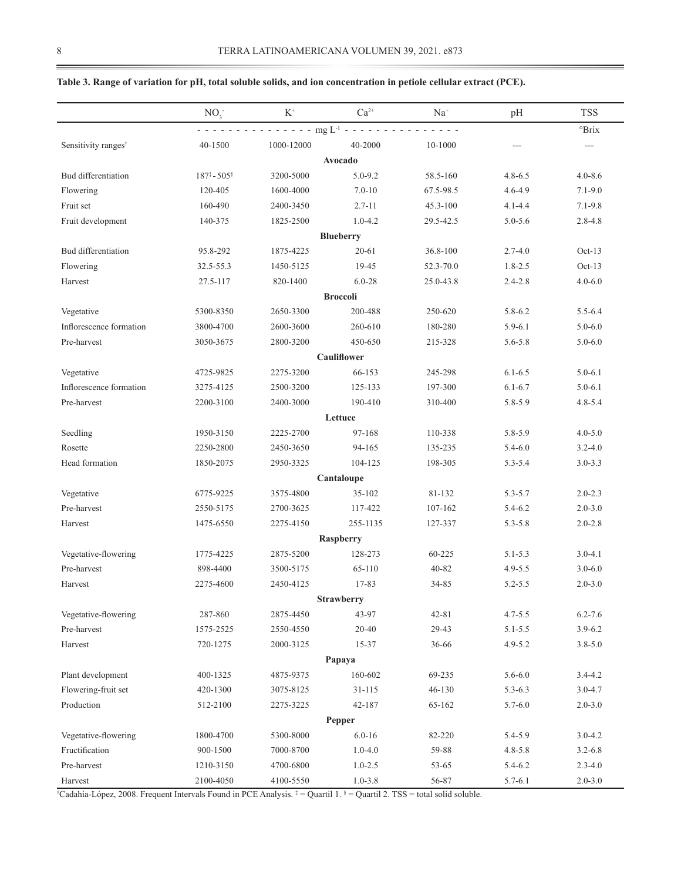|                                 | NO <sub>3</sub>                | $\rm K^+$  | $Ca^{2+}$          | $Na+$        | pH          | <b>TSS</b>      |  |  |  |
|---------------------------------|--------------------------------|------------|--------------------|--------------|-------------|-----------------|--|--|--|
|                                 |                                |            | - mg $L^{-1}$ - -  |              |             | $\mathrm{Prix}$ |  |  |  |
| Sensitivity ranges <sup>†</sup> | 40-1500                        | 1000-12000 | 40-2000            | 10-1000      | $---$       | ---             |  |  |  |
|                                 |                                |            | Avocado            |              |             |                 |  |  |  |
| Bud differentiation             | $187^{\ddagger} - 505^{\circ}$ | 3200-5000  | $5.0 - 9.2$        | 58.5-160     | $4.8 - 6.5$ | $4.0 - 8.6$     |  |  |  |
| Flowering                       | 120-405                        | 1600-4000  | $7.0 - 10$         | 67.5-98.5    | $4.6 - 4.9$ | $7.1 - 9.0$     |  |  |  |
| Fruit set                       | 160-490                        | 2400-3450  | $2.7 - 11$         | $45.3 - 100$ | $4.1 - 4.4$ | $7.1 - 9.8$     |  |  |  |
| Fruit development               | 140-375                        | 1825-2500  | $1.0 - 4.2$        | 29.5-42.5    | $5.0 - 5.6$ | $2.8 - 4.8$     |  |  |  |
| <b>Blueberry</b>                |                                |            |                    |              |             |                 |  |  |  |
| Bud differentiation             | 95.8-292                       | 1875-4225  | $20 - 61$          | 36.8-100     | $2.7 - 4.0$ | $Oct-13$        |  |  |  |
| Flowering                       | 32.5-55.3                      | 1450-5125  | 19-45              | 52.3-70.0    | $1.8 - 2.5$ | $Oct-13$        |  |  |  |
| Harvest                         | 27.5-117                       | 820-1400   | $6.0 - 28$         | 25.0-43.8    | $2.4 - 2.8$ | $4.0 - 6.0$     |  |  |  |
|                                 |                                |            | <b>Broccoli</b>    |              |             |                 |  |  |  |
| Vegetative                      | 5300-8350                      | 2650-3300  | 200-488            | 250-620      | $5.8 - 6.2$ | $5.5 - 6.4$     |  |  |  |
| Inflorescence formation         | 3800-4700                      | 2600-3600  | 260-610            | 180-280      | $5.9 - 6.1$ | $5.0 - 6.0$     |  |  |  |
| Pre-harvest                     | 3050-3675                      | 2800-3200  | 450-650            | 215-328      | $5.6 - 5.8$ | $5.0 - 6.0$     |  |  |  |
|                                 |                                |            | <b>Cauliflower</b> |              |             |                 |  |  |  |
| Vegetative                      | 4725-9825                      | 2275-3200  | 66-153             | 245-298      | $6.1 - 6.5$ | $5.0 - 6.1$     |  |  |  |
| Inflorescence formation         | 3275-4125                      | 2500-3200  | 125-133            | 197-300      | $6.1 - 6.7$ | $5.0 - 6.1$     |  |  |  |
| Pre-harvest                     | 2200-3100                      | 2400-3000  | 190-410            | 310-400      | 5.8-5.9     | $4.8 - 5.4$     |  |  |  |
|                                 |                                |            | Lettuce            |              |             |                 |  |  |  |
| Seedling                        | 1950-3150                      | 2225-2700  | 97-168             | 110-338      | 5.8-5.9     | $4.0 - 5.0$     |  |  |  |
| Rosette                         | 2250-2800                      | 2450-3650  | 94-165             | 135-235      | $5.4 - 6.0$ | $3.2 - 4.0$     |  |  |  |
| Head formation                  | 1850-2075                      | 2950-3325  | 104-125            | 198-305      | $5.3 - 5.4$ | $3.0 - 3.3$     |  |  |  |
|                                 |                                |            | Cantaloupe         |              |             |                 |  |  |  |
| Vegetative                      | 6775-9225                      | 3575-4800  | 35-102             | 81-132       | $5.3 - 5.7$ | $2.0 - 2.3$     |  |  |  |
| Pre-harvest                     | 2550-5175                      | 2700-3625  | 117-422            | 107-162      | $5.4 - 6.2$ | $2.0 - 3.0$     |  |  |  |
| Harvest                         | 1475-6550                      | 2275-4150  | 255-1135           | 127-337      | $5.3 - 5.8$ | $2.0 - 2.8$     |  |  |  |
|                                 |                                |            | Raspberry          |              |             |                 |  |  |  |
| Vegetative-flowering            | 1775-4225                      | 2875-5200  | 128-273            | 60-225       | $5.1 - 5.3$ | $3.0 - 4.1$     |  |  |  |
| Pre-harvest                     | 898-4400                       | 3500-5175  | 65-110             | $40 - 82$    | $4.9 - 5.5$ | $3.0 - 6.0$     |  |  |  |
| Harvest                         | 2275-4600                      | 2450-4125  | 17-83              | 34-85        | $5.2 - 5.5$ | $2.0 - 3.0$     |  |  |  |
|                                 |                                |            | Strawberry         |              |             |                 |  |  |  |
| Vegetative-flowering            | 287-860                        | 2875-4450  | 43-97              | $42 - 81$    | $4.7 - 5.5$ | $6.2 - 7.6$     |  |  |  |
| Pre-harvest                     | 1575-2525                      | 2550-4550  | $20 - 40$          | 29-43        | $5.1 - 5.5$ | $3.9 - 6.2$     |  |  |  |
| Harvest                         | 720-1275                       | 2000-3125  | 15-37              | 36-66        | $4.9 - 5.2$ | $3.8 - 5.0$     |  |  |  |
|                                 |                                |            | Papaya             |              |             |                 |  |  |  |
| Plant development               | 400-1325                       | 4875-9375  | 160-602            | 69-235       | $5.6 - 6.0$ | $3.4 - 4.2$     |  |  |  |
| Flowering-fruit set             | 420-1300                       | 3075-8125  | 31-115             | 46-130       | $5.3 - 6.3$ | $3.0 - 4.7$     |  |  |  |
| Production                      | 512-2100                       | 2275-3225  | 42-187             | 65-162       | $5.7 - 6.0$ | $2.0 - 3.0$     |  |  |  |
| Pepper                          |                                |            |                    |              |             |                 |  |  |  |
| Vegetative-flowering            | 1800-4700                      | 5300-8000  | $6.0 - 16$         | 82-220       | 5.4-5.9     | $3.0 - 4.2$     |  |  |  |
| Fructification                  | 900-1500                       | 7000-8700  | $1.0 - 4.0$        | 59-88        | $4.8 - 5.8$ | $3.2 - 6.8$     |  |  |  |
| Pre-harvest                     | 1210-3150                      | 4700-6800  | $1.0 - 2.5$        | $53 - 65$    | $5.4 - 6.2$ | $2.3 - 4.0$     |  |  |  |
| Harvest                         | 2100-4050                      | 4100-5550  | $1.0 - 3.8$        | 56-87        | $5.7 - 6.1$ | $2.0 - 3.0$     |  |  |  |

# **Table 3. Range of variation for pH, total soluble solids, and ion concentration in petiole cellular extract (PCE).**

† Cadahía-López, 2008. Frequent Intervals Found in PCE Analysis. ‡ = Quartil 1. § = Quartil 2. TSS = total solid soluble.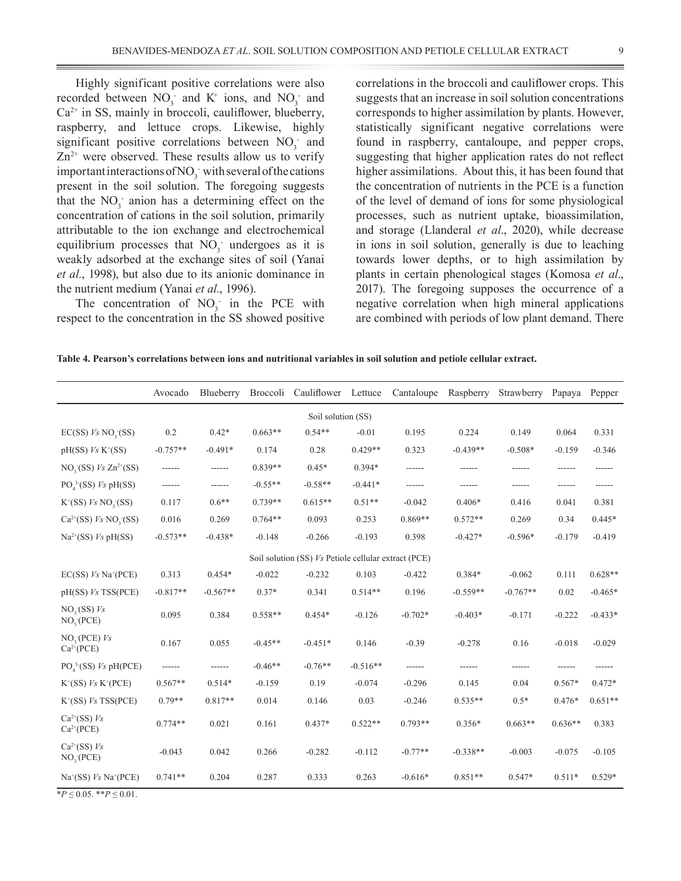Highly signif icant positive correlations were also recorded between  $NO_3^-$  and  $K^+$  ions, and  $NO_3^-$  and  $Ca<sup>2+</sup>$  in SS, mainly in broccoli, cauliflower, blueberry, raspberry, and lettuce crops. Likewise, highly significant positive correlations between  $NO<sub>3</sub>^-$  and  $Zn^{2+}$  were observed. These results allow us to verify important interactions of  $NO_3^-$  with several of the cations present in the soil solution. The foregoing suggests that the  $NO_3^-$  anion has a determining effect on the concentration of cations in the soil solution, primarily attributable to the ion exchange and electrochemical equilibrium processes that  $NO_3^-$  undergoes as it is weakly adsorbed at the exchange sites of soil (Yanai *et al.*, 1998), but also due to its anionic dominance in the nutrient medium (Yanai *et al.*, 1996).

The concentration of  $NO_3^-$  in the PCE with respect to the concentration in the SS showed positive

correlations in the broccoli and cauliflower crops. This suggests that an increase in soil solution concentrations corresponds to higher assimilation by plants. However, statistically significant negative correlations were found in raspberry, cantaloupe, and pepper crops, suggesting that higher application rates do not reflect higher assimilations. About this, it has been found that the concentration of nutrients in the PCE is a function of the level of demand of ions for some physiological processes, such as nutrient uptake, bioassimilation, and storage (Llanderal *et al*., 2020), while decrease in ions in soil solution, generally is due to leaching towards lower depths, or to high assimilation by plants in certain phenological stages (Komosa *et al*., 2017). The foregoing supposes the occurrence of a negative correlation when high mineral applications are combined with periods of low plant demand. There

**Table 4. Pearson's correlations between ions and nutritional variables in soil solution and petiole cellular extract.**

|                                                      | Avocado    | Blueberry  |           | Broccoli Cauliflower Lettuce |            | Cantaloupe | Raspberry  | Strawberry | Papaya    | Pepper    |
|------------------------------------------------------|------------|------------|-----------|------------------------------|------------|------------|------------|------------|-----------|-----------|
| Soil solution (SS)                                   |            |            |           |                              |            |            |            |            |           |           |
| $EC(SS)$ $Vs$ $NO$ <sub>3</sub> $(SS)$               | 0.2        | $0.42*$    | $0.663**$ | $0.54**$                     | $-0.01$    | 0.195      | 0.224      | 0.149      | 0.064     | 0.331     |
| $pH(SS)$ $Vs$ K <sup>+</sup> (SS)                    | $-0.757**$ | $-0.491*$  | 0.174     | 0.28                         | $0.429**$  | 0.323      | $-0.439**$ | $-0.508*$  | $-0.159$  | $-0.346$  |
| $NO3(SS)$ Vs $Zn^{2+}(SS)$                           | ------     | ------     | $0.839**$ | $0.45*$                      | $0.394*$   | ------     | ------     | ------     | ------    | ------    |
| $POA3(SS) Vs pH(SS)$                                 | ------     | ------     | $-0.55**$ | $-0.58**$                    | $-0.441*$  | ------     | ------     | ------     | ------    | ------    |
| $K^*(SS)$ Vs NO <sub>3</sub> (SS)                    | 0.117      | $0.6**$    | $0.739**$ | $0.615**$                    | $0.51**$   | $-0.042$   | $0.406*$   | 0.416      | 0.041     | 0.381     |
| $Ca^{2+}(SS)$ Vs NO <sub>2</sub> (SS)                | 0.016      | 0.269      | $0.764**$ | 0.093                        | 0.253      | $0.869**$  | $0.572**$  | 0.269      | 0.34      | $0.445*$  |
| $Na^{2+}(SS)$ Vs pH(SS)                              | $-0.573**$ | $-0.438*$  | $-0.148$  | $-0.266$                     | $-0.193$   | 0.398      | $-0.427*$  | $-0.596*$  | $-0.179$  | $-0.419$  |
| Soil solution (SS) Vs Petiole cellular extract (PCE) |            |            |           |                              |            |            |            |            |           |           |
| $EC(SS)$ $Vs$ $Na+(PCE)$                             | 0.313      | $0.454*$   | $-0.022$  | $-0.232$                     | 0.103      | $-0.422$   | $0.384*$   | $-0.062$   | 0.111     | $0.628**$ |
| $pH(SS)$ $Vs$ $TSS(PCE)$                             | $-0.817**$ | $-0.567**$ | $0.37*$   | 0.341                        | $0.514**$  | 0.196      | $-0.559**$ | $-0.767**$ | 0.02      | $-0.465*$ |
| $NO3(SS)$ Vs<br>NO <sub>3</sub> (PCE)                | 0.095      | 0.384      | $0.558**$ | $0.454*$                     | $-0.126$   | $-0.702*$  | $-0.403*$  | $-0.171$   | $-0.222$  | $-0.433*$ |
| $NO3(PCE)$ $Vs$<br>$Ca^{2+}(PCE)$                    | 0.167      | 0.055      | $-0.45**$ | $-0.451*$                    | 0.146      | $-0.39$    | $-0.278$   | 0.16       | $-0.018$  | $-0.029$  |
| $PO43(SS) Vs pH(PCE)$                                | ------     | ------     | $-0.46**$ | $-0.76**$                    | $-0.516**$ | ------     |            | ------     | ------    |           |
| $K^*(SS)$ Vs $K^*(PCE)$                              | $0.567**$  | $0.514*$   | $-0.159$  | 0.19                         | $-0.074$   | $-0.296$   | 0.145      | 0.04       | $0.567*$  | $0.472*$  |
| $K^*(SS)$ Vs TSS(PCE)                                | $0.79**$   | $0.817**$  | 0.014     | 0.146                        | 0.03       | $-0.246$   | $0.535**$  | $0.5*$     | $0.476*$  | $0.651**$ |
| $Ca^{2+}(SS)$ Vs<br>$Ca^{2+}(PCE)$                   | $0.774**$  | 0.021      | 0.161     | $0.437*$                     | $0.522**$  | $0.793**$  | $0.356*$   | $0.663**$  | $0.636**$ | 0.383     |
| $Ca^{2+}(SS)$ Vs<br>NO <sub>3</sub> (PCE)            | $-0.043$   | 0.042      | 0.266     | $-0.282$                     | $-0.112$   | $-0.77**$  | $-0.338**$ | $-0.003$   | $-0.075$  | $-0.105$  |
| $Na+(SS)$ Vs Na <sup>+</sup> (PCE)                   | $0.741**$  | 0.204      | 0.287     | 0.333                        | 0.263      | $-0.616*$  | $0.851**$  | $0.547*$   | $0.511*$  | $0.529*$  |

 $*P \leq 0.05$ . \*\* $P \leq 0.01$ .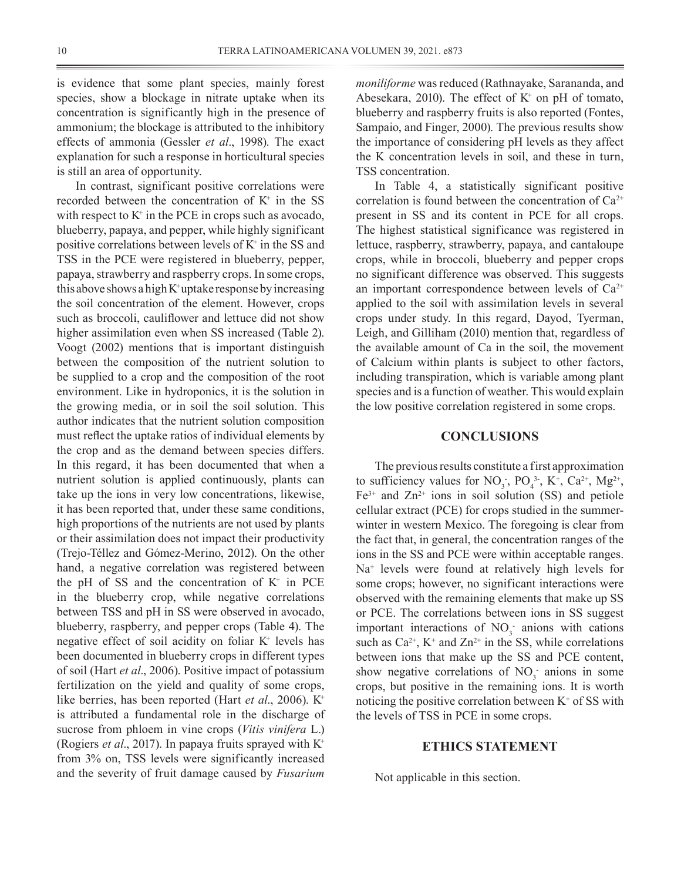is evidence that some plant species, mainly forest species, show a blockage in nitrate uptake when its concentration is significantly high in the presence of ammonium; the blockage is attributed to the inhibitory effects of ammonia (Gessler *et al*., 1998). The exact explanation for such a response in horticultural species is still an area of opportunity.

In contrast, significant positive correlations were recorded between the concentration of  $K^+$  in the SS with respect to  $K^+$  in the PCE in crops such as avocado, blueberry, papaya, and pepper, while highly signif icant positive correlations between levels of K+ in the SS and TSS in the PCE were registered in blueberry, pepper, papaya, strawberry and raspberry crops. In some crops, this above shows a high  $K^+$  uptake response by increasing the soil concentration of the element. However, crops such as broccoli, cauliflower and lettuce did not show higher assimilation even when SS increased (Table 2). Voogt (2002) mentions that is important distinguish between the composition of the nutrient solution to be supplied to a crop and the composition of the root environment. Like in hydroponics, it is the solution in the growing media, or in soil the soil solution. This author indicates that the nutrient solution composition must reflect the uptake ratios of individual elements by the crop and as the demand between species differs. In this regard, it has been documented that when a nutrient solution is applied continuously, plants can take up the ions in very low concentrations, likewise, it has been reported that, under these same conditions, high proportions of the nutrients are not used by plants or their assimilation does not impact their productivity (Trejo-Téllez and Gómez-Merino, 2012). On the other hand, a negative correlation was registered between the pH of SS and the concentration of  $K^+$  in PCE in the blueberry crop, while negative correlations between TSS and pH in SS were observed in avocado, blueberry, raspberry, and pepper crops (Table 4). The negative effect of soil acidity on foliar K+ levels has been documented in blueberry crops in different types of soil (Hart *et al*., 2006). Positive impact of potassium fertilization on the yield and quality of some crops, like berries, has been reported (Hart *et al.*, 2006). K<sup>+</sup> is attributed a fundamental role in the discharge of sucrose from phloem in vine crops (*Vitis vinifera* L.) (Rogiers *et al*., 2017). In papaya fruits sprayed with K+ from 3% on, TSS levels were significantly increased and the severity of fruit damage caused by *Fusarium* 

*moniliforme* was reduced (Rathnayake, Sarananda, and Abesekara, 2010). The effect of  $K^+$  on pH of tomato, blueberry and raspberry fruits is also reported (Fontes, Sampaio, and Finger, 2000). The previous results show the importance of considering pH levels as they affect the K concentration levels in soil, and these in turn, TSS concentration.

In Table 4, a statistically significant positive correlation is found between the concentration of  $Ca^{2+}$ present in SS and its content in PCE for all crops. The highest statistical significance was registered in lettuce, raspberry, strawberry, papaya, and cantaloupe crops, while in broccoli, blueberry and pepper crops no signif icant difference was observed. This suggests an important correspondence between levels of  $Ca^{2+}$ applied to the soil with assimilation levels in several crops under study. In this regard, Dayod, Tyerman, Leigh, and Gilliham (2010) mention that, regardless of the available amount of Ca in the soil, the movement of Calcium within plants is subject to other factors, including transpiration, which is variable among plant species and is a function of weather. This would explain the low positive correlation registered in some crops.

### **CONCLUSIONS**

The previous results constitute a f irst approximation to sufficiency values for  $NO_3$ ;  $PO_4^3$ ,  $K^+$ ,  $Ca^{2+}$ ,  $Mg^{2+}$ ,  $Fe<sup>3+</sup>$  and  $Zn<sup>2+</sup>$  ions in soil solution (SS) and petiole cellular extract (PCE) for crops studied in the summerwinter in western Mexico. The foregoing is clear from the fact that, in general, the concentration ranges of the ions in the SS and PCE were within acceptable ranges. Na+ levels were found at relatively high levels for some crops; however, no significant interactions were observed with the remaining elements that make up SS or PCE. The correlations between ions in SS suggest important interactions of  $NO<sub>3</sub>$  anions with cations such as  $Ca^{2+}$ , K<sup>+</sup> and  $Zn^{2+}$  in the SS, while correlations between ions that make up the SS and PCE content, show negative correlations of  $NO<sub>3</sub>$  anions in some crops, but positive in the remaining ions. It is worth noticing the positive correlation between  $K^+$  of SS with the levels of TSS in PCE in some crops.

### **ETHICS STATEMENT**

Not applicable in this section.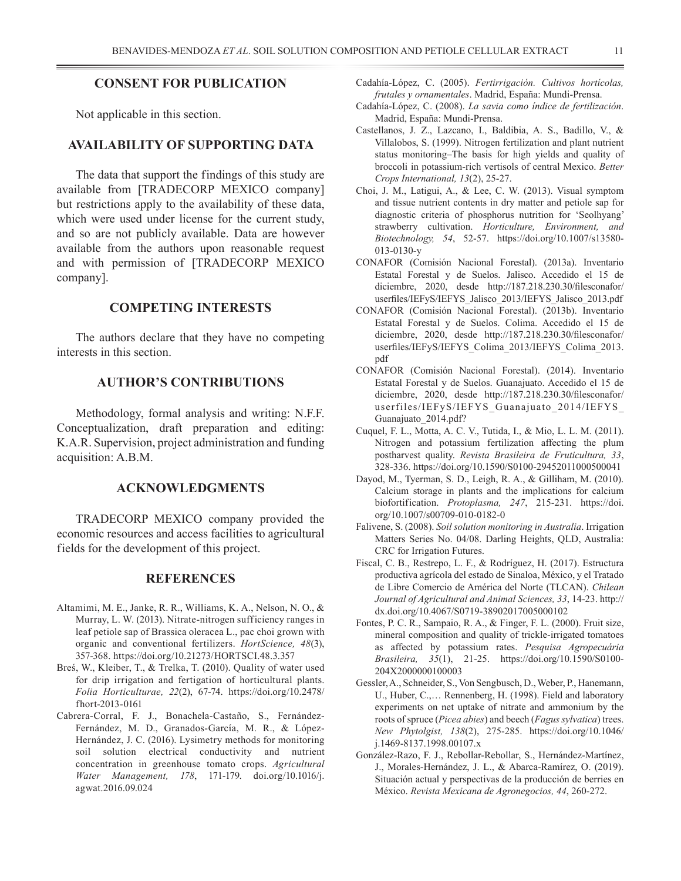### **CONSENT FOR PUBLICATION**

Not applicable in this section.

#### **AVAILABILITY OF SUPPORTING DATA**

The data that support the findings of this study are available from [TRADECORP MEXICO company] but restrictions apply to the availability of these data, which were used under license for the current study, and so are not publicly available. Data are however available from the authors upon reasonable request and with permission of [TRADECORP MEXICO company].

## **COMPETING INTERESTS**

The authors declare that they have no competing interests in this section.

### **AUTHOR'S CONTRIBUTIONS**

Methodology, formal analysis and writing: N.F.F. Conceptualization, draft preparation and editing: K.A.R. Supervision, project administration and funding acquisition: A.B.M.

#### **ACKNOWLEDGMENTS**

TRADECORP MEXICO company provided the economic resources and access facilities to agricultural fields for the development of this project.

### **REFERENCES**

- Altamimi, M. E., Janke, R. R., Williams, K. A., Nelson, N. O., & Murray, L. W. (2013). Nitrate-nitrogen sufficiency ranges in leaf petiole sap of Brassica oleracea L., pac choi grown with organic and conventional fertilizers. *HortScience, 48*(3), 357-368. https://doi.org/10.21273/HORTSCI.48.3.357
- Breś, W., Kleiber, T., & Trelka, T. (2010). Quality of water used for drip irrigation and fertigation of horticultural plants. *Folia Horticulturae, 22*(2), 67-74. https://doi.org/10.2478/ fhort-2013-0161
- Cabrera-Corral, F. J., Bonachela-Castaño, S., Fernández-Fernández, M. D., Granados-García, M. R., & López-Hernández, J. C. (2016). Lysimetry methods for monitoring soil solution electrical conductivity and nutrient concentration in greenhouse tomato crops. *Agricultural Water Management, 178*, 171-179. doi.org/10.1016/j. agwat.2016.09.024
- Cadahía-López, C. (2005). *Fertirrigación. Cultivos hortícolas, frutales y ornamentales*. Madrid, España: Mundi-Prensa.
- Cadahía-López, C. (2008). *La savia como índice de fertilización*. Madrid, España: Mundi-Prensa.
- Castellanos, J. Z., Lazcano, I., Baldibia, A. S., Badillo, V., & Villalobos, S. (1999). Nitrogen fertilization and plant nutrient status monitoring–The basis for high yields and quality of broccoli in potassium-rich vertisols of central Mexico. *Better Crops International, 13*(2), 25-27.
- Choi, J. M., Latigui, A., & Lee, C. W. (2013). Visual symptom and tissue nutrient contents in dry matter and petiole sap for diagnostic criteria of phosphorus nutrition for 'Seolhyang' strawberry cultivation. *Horticulture, Environment, and Biotechnology, 54*, 52-57. https://doi.org/10.1007/s13580- 013-0130-y
- CONAFOR (Comisión Nacional Forestal). (2013a). Inventario Estatal Forestal y de Suelos. Jalisco. Accedido el 15 de diciembre, 2020, desde http://187.218.230.30/filesconafor/ userfiles/IEFyS/IEFYS\_Jalisco\_2013/IEFYS\_Jalisco\_2013.pdf
- CONAFOR (Comisión Nacional Forestal). (2013b). Inventario Estatal Forestal y de Suelos. Colima. Accedido el 15 de diciembre, 2020, desde http://187.218.230.30/filesconafor/ userfiles/IEFyS/IEFYS\_Colima\_2013/IEFYS\_Colima\_2013. pdf
- CONAFOR (Comisión Nacional Forestal). (2014). Inventario Estatal Forestal y de Suelos. Guanajuato. Accedido el 15 de diciembre, 2020, desde http://187.218.230.30/filesconafor/ userfiles/IEFyS/IEFYS\_Guanajuato\_2014/IEFYS\_ Guanajuato\_2014.pdf?
- Cuquel, F. L., Motta, A. C. V., Tutida, I., & Mio, L. L. M. (2011). Nitrogen and potassium fertilization affecting the plum postharvest quality. *Revista Brasileira de Fruticultura, 33*, 328-336. https://doi.org/10.1590/S0100-29452011000500041
- Dayod, M., Tyerman, S. D., Leigh, R. A., & Gilliham, M. (2010). Calcium storage in plants and the implications for calcium biofortification. *Protoplasma*, 247, 215-231. https://doi. org/10.1007/s00709-010-0182-0
- Falivene, S. (2008). *Soil solution monitoring in Australia*. Irrigation Matters Series No. 04/08. Darling Heights, QLD, Australia: CRC for Irrigation Futures.
- Fiscal, C. B., Restrepo, L. F., & Rodríguez, H. (2017). Estructura productiva agrícola del estado de Sinaloa, México, y el Tratado de Libre Comercio de América del Norte (TLCAN). *Chilean Journal of Agricultural and Animal Sciences, 33*, 14-23. http:// dx.doi.org/10.4067/S0719-38902017005000102
- Fontes, P. C. R., Sampaio, R. A., & Finger, F. L. (2000). Fruit size, mineral composition and quality of trickle-irrigated tomatoes as affected by potassium rates. *Pesquisa Agropecuária Brasileira, 35*(1), 21-25. https://doi.org/10.1590/S0100- 204X2000000100003
- Gessler, A., Schneider, S., Von Sengbusch, D., Weber, P., Hanemann, U., Huber, C.,… Rennenberg, H. (1998). Field and laboratory experiments on net uptake of nitrate and ammonium by the roots of spruce (*Picea abies*) and beech (*Fagussylvatica*) trees. *New Phytolgist, 138*(2), 275-285. https://doi.org/10.1046/ j.1469-8137.1998.00107.x
- González-Razo, F. J., Rebollar-Rebollar, S., Hernández-Martínez, J., Morales-Hernández, J. L., & Abarca-Ramírez, O. (2019). Situación actual y perspectivas de la producción de berries en México. *Revista Mexicana de Agronegocios, 44*, 260-272.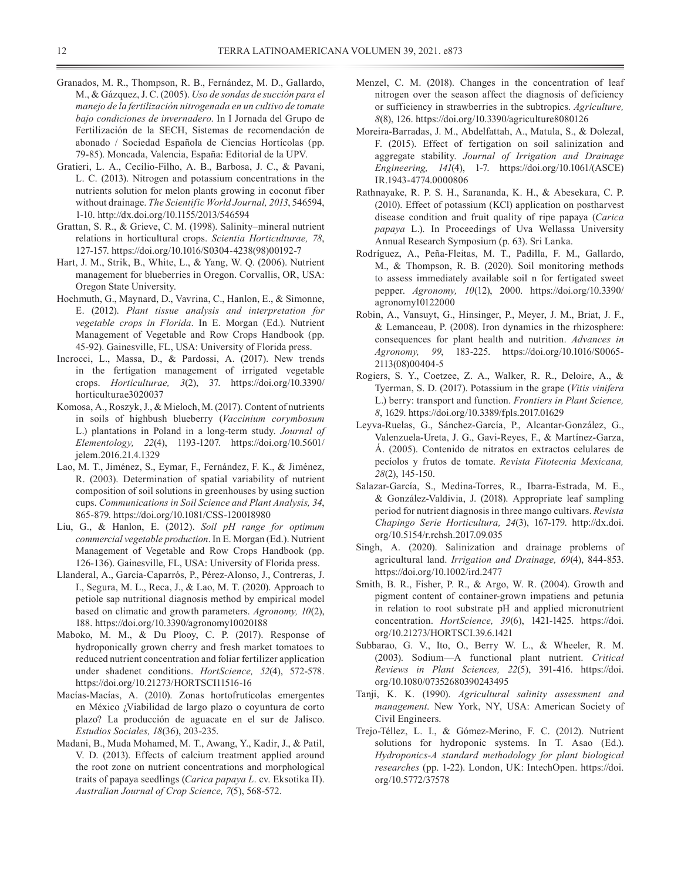- Granados, M. R., Thompson, R. B., Fernández, M. D., Gallardo, M., & Gázquez, J. C. (2005). *Uso de sondas de succión para el manejo de la fertilización nitrogenada en un cultivo de tomate bajo condiciones de invernadero*. In I Jornada del Grupo de Fertilización de la SECH, Sistemas de recomendación de abonado / Sociedad Española de Ciencias Hortícolas (pp. 79-85). Moncada, Valencia, España: Editorial de la UPV.
- Gratieri, L. A., Cecílio-Filho, A. B., Barbosa, J. C., & Pavani, L. C. (2013). Nitrogen and potassium concentrations in the nutrients solution for melon plants growing in coconut fiber without drainage. *The Scientif ic World Journal, 2013*, 546594, 1-10. http://dx.doi.org/10.1155/2013/546594
- Grattan, S. R., & Grieve, C. M. (1998). Salinity–mineral nutrient relations in horticultural crops. *Scientia Horticulturae, 78*, 127-157. https://doi.org/10.1016/S0304-4238(98)00192-7
- Hart, J. M., Strik, B., White, L., & Yang, W. Q. (2006). Nutrient management for blueberries in Oregon. Corvallis, OR, USA: Oregon State University.
- Hochmuth, G., Maynard, D., Vavrina, C., Hanlon, E., & Simonne, E. (2012). *Plant tissue analysis and interpretation for vegetable crops in Florida*. In E. Morgan (Ed.). Nutrient Management of Vegetable and Row Crops Handbook (pp. 45-92). Gainesville, FL, USA: University of Florida press.
- Incrocci, L., Massa, D., & Pardossi, A. (2017). New trends in the fertigation management of irrigated vegetable crops. *Horticulturae, 3*(2), 37. https://doi.org/10.3390/ horticulturae3020037
- Komosa, A., Roszyk, J., & Mieloch, M. (2017). Content of nutrients in soils of highbush blueberry (*Vaccinium corymbosum* L.) plantations in Poland in a long-term study. *Journal of Elementology, 22*(4), 1193-1207. https://doi.org/10.5601/ jelem.2016.21.4.1329
- Lao, M. T., Jiménez, S., Eymar, F., Fernández, F. K., & Jiménez, R. (2003). Determination of spatial variability of nutrient composition of soil solutions in greenhouses by using suction cups. *Communications in Soil Science and Plant Analysis, 34*, 865-879. https://doi.org/10.1081/CSS-120018980
- Liu, G., & Hanlon, E. (2012). *Soil pH range for optimum commercial vegetable production*. In E. Morgan (Ed.). Nutrient Management of Vegetable and Row Crops Handbook (pp. 126-136). Gainesville, FL, USA: University of Florida press.
- Llanderal, A., García-Caparrós, P., Pérez-Alonso, J., Contreras, J. I., Segura, M. L., Reca, J., & Lao, M. T. (2020). Approach to petiole sap nutritional diagnosis method by empirical model based on climatic and growth parameters. *Agronomy, 10*(2), 188. https://doi.org/10.3390/agronomy10020188
- Maboko, M. M., & Du Plooy, C. P. (2017). Response of hydroponically grown cherry and fresh market tomatoes to reduced nutrient concentration and foliar fertilizer application under shadenet conditions. *HortScience, 52*(4), 572-578. https://doi.org/10.21273/HORTSCI11516-16
- Macías-Macías, A. (2010). Zonas hortofrutícolas emergentes en México ¿Viabilidad de largo plazo o coyuntura de corto plazo? La producción de aguacate en el sur de Jalisco. *Estudios Sociales, 18*(36), 203-235.
- Madani, B., Muda Mohamed, M. T., Awang, Y., Kadir, J., & Patil, V. D. (2013). Effects of calcium treatment applied around the root zone on nutrient concentrations and morphological traits of papaya seedlings (*Carica papaya L*. cv. Eksotika II). *Australian Journal of Crop Science, 7*(5), 568-572.
- Menzel, C. M. (2018). Changes in the concentration of leaf nitrogen over the season affect the diagnosis of deficiency or suff iciency in strawberries in the subtropics. *Agriculture, 8*(8), 126. https://doi.org/10.3390/agriculture8080126
- Moreira-Barradas, J. M., Abdelfattah, A., Matula, S., & Dolezal, F. (2015). Effect of fertigation on soil salinization and aggregate stability. *Journal of Irrigation and Drainage Engineering, 141*(4), 1-7. https://doi.org/10.1061/(ASCE) IR.1943-4774.0000806
- Rathnayake, R. P. S. H., Sarananda, K. H., & Abesekara, C. P. (2010). Effect of potassium (KCl) application on postharvest disease condition and fruit quality of ripe papaya (*Carica papaya* L.). In Proceedings of Uva Wellassa University Annual Research Symposium (p. 63). Sri Lanka.
- Rodríguez, A., Peña-Fleitas, M. T., Padilla, F. M., Gallardo, M., & Thompson, R. B. (2020). Soil monitoring methods to assess immediately available soil n for fertigated sweet pepper. *Agronomy, 10*(12), 2000. https://doi.org/10.3390/ agronomy10122000
- Robin, A., Vansuyt, G., Hinsinger, P., Meyer, J. M., Briat, J. F., & Lemanceau, P. (2008). Iron dynamics in the rhizosphere: consequences for plant health and nutrition. *Advances in Agronomy, 99*, 183-225. https://doi.org/10.1016/S0065- 2113(08)00404-5
- Rogiers, S. Y., Coetzee, Z. A., Walker, R. R., Deloire, A., & Tyerman, S. D. (2017). Potassium in the grape (*Vitis vinifera* L.) berry: transport and function. *Frontiers in Plant Science, 8*, 1629. https://doi.org/10.3389/fpls.2017.01629
- Leyva-Ruelas, G., Sánchez-García, P., Alcantar-González, G., Valenzuela-Ureta, J. G., Gavi-Reyes, F., & Martínez-Garza, Á. (2005). Contenido de nitratos en extractos celulares de pecíolos y frutos de tomate. *Revista Fitotecnia Mexicana, 28*(2), 145-150.
- Salazar-García, S., Medina-Torres, R., Ibarra-Estrada, M. E., & González-Valdivia, J. (2018). Appropriate leaf sampling period for nutrient diagnosis in three mango cultivars. *Revista Chapingo Serie Horticultura, 24*(3), 167-179. http://dx.doi. org/10.5154/r.rchsh.2017.09.035
- Singh, A. (2020). Salinization and drainage problems of agricultural land. *Irrigation and Drainage, 69*(4), 844-853. https://doi.org/10.1002/ird.2477
- Smith, B. R., Fisher, P. R., & Argo, W. R. (2004). Growth and pigment content of container-grown impatiens and petunia in relation to root substrate pH and applied micronutrient concentration. *HortScience, 39*(6), 1421-1425. https://doi. org/10.21273/HORTSCI.39.6.1421
- Subbarao, G. V., Ito, O., Berry W. L., & Wheeler, R. M. (2003). Sodium—A functional plant nutrient. *Critical Reviews in Plant Sciences, 22*(5), 391-416. https://doi. org/10.1080/07352680390243495
- Tanji, K. K. (1990). *Agricultural salinity assessment and management*. New York, NY, USA: American Society of Civil Engineers.
- Trejo-Téllez, L. I., & Gómez-Merino, F. C. (2012). Nutrient solutions for hydroponic systems. In T. Asao (Ed.). *Hydroponics-A standard methodology for plant biological researches* (pp. 1-22). London, UK: IntechOpen. https://doi. org/10.5772/37578